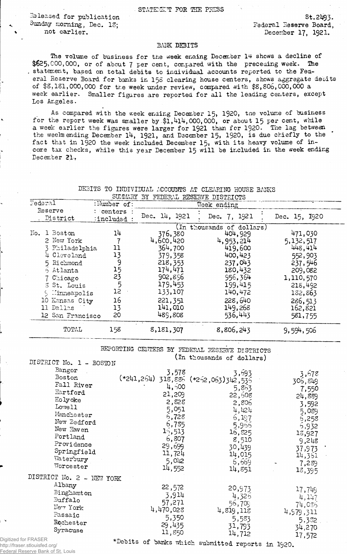Released for publication Sunday morning, Dec. 13; not earlier.

**s t .** 21**^** 3**.** Federal Reserve Board, **December 17, 1921.**

## **BANK DEBITS**

The volume of business for the week enaing December 14 shows a decline of \$625,000,000, or of about 7 per cent, compared with the preceding week. The , statement, based on total debits to individual accounts reported to the Federal Reserve Board for banks in 158 clearing house centers, shows aggregate decits of \$8,181,000,000 for the week under review, compared with \$8,806,000,000 a week earlier. Smaller figures are reported for all the leading centers, except Los Angeles.

As compared with the week ending December 15, 1920, tne volume of business for the report week was smaller by  $$1,414,000,000$ , or about 15 per cent, while a week earlier the figures were larger for 1921 than for 1920. The lag between the weeks ending December 14, 1921, and December 15, 1920, is due chiefly to the fact that in 1920 the week included December 15, with its heavy volume of income tax checks, while this year December 15 will be included in the week ending December 21.

|                                                                                                                                                                                            | SUMMARY                                                      | BY FEDERAL RESERVE DISTRICTS                                                                                                        |                                                                                                                                                                  |                                                                                                                                      |
|--------------------------------------------------------------------------------------------------------------------------------------------------------------------------------------------|--------------------------------------------------------------|-------------------------------------------------------------------------------------------------------------------------------------|------------------------------------------------------------------------------------------------------------------------------------------------------------------|--------------------------------------------------------------------------------------------------------------------------------------|
| Federal<br>:Number of:                                                                                                                                                                     |                                                              |                                                                                                                                     | Week ending                                                                                                                                                      |                                                                                                                                      |
| Reserve<br>District                                                                                                                                                                        | : centers<br>:included:                                      | Dec. 14, 1921                                                                                                                       | Dec. 7, 1921                                                                                                                                                     | Dec. 15, 1920                                                                                                                        |
| 1 Boston<br>No.<br>2 New York<br>3 Philadelphia<br>4 Cleveland<br>5 Richmond<br>6 Atlanta<br>$C$ hicago<br>3 St. Louis<br>5 Minneapolis<br>10 Kansas City<br>11 Dallas<br>12 San Francisco | 14<br>11<br>13<br>9<br>15<br>23<br>5<br>12<br>16<br>13<br>20 | 376,380<br>4,600,420<br>364,700<br>379,358<br>218, 353<br>174,471<br>902,856<br>179,453<br>133,107<br>221,351<br>141,010<br>489,808 | (In thousands of dollars)<br>404,929<br>4,953,214<br>419,600<br>400,423<br>.237,043<br>180,432<br>956,364<br>199,415<br>140,472<br>228,640<br>149,268<br>536,443 | 471,030<br>5,132,517<br>448,414<br>552,903<br>237,546<br>209,082<br>1,110,570<br>218,492<br>132,863<br>286,513<br>162,821<br>581,755 |
| TOTAL                                                                                                                                                                                      | 158                                                          | 8,181,307                                                                                                                           | 8,806,243                                                                                                                                                        | 9,594,506                                                                                                                            |

**DEBITS TO INDIVIDUAL ACCOUNTS AT CLEARING HOUSE BANKS**

REPORTING CENTERS BY FEDERAL RESERVE DISTRICTS (In thousands of dollars)

|                | DISTRICT NO. I - ROSTON                                                                                                                            |                                                                                                                                             |                                                                                                     |                                                                                                                |
|----------------|----------------------------------------------------------------------------------------------------------------------------------------------------|---------------------------------------------------------------------------------------------------------------------------------------------|-----------------------------------------------------------------------------------------------------|----------------------------------------------------------------------------------------------------------------|
|                | Bangor<br>Boston<br>Fall River<br>Hartford<br>Holyoke<br>Lowell<br>Manchester<br>New Bedford<br>New Haven<br>Portland<br>Providence<br>Springfield | 3,578<br>(*241,264) 318,886 (*262,063)342,536<br>4,500<br>21,209<br>2,828<br>5,051<br>6,728<br>6,785<br>15,513<br>6,807<br>29,699<br>11,724 | 3,693<br>5,863<br>22,508<br>2,806<br>4,424<br>6,197<br>5,966<br>16,825<br>8,510<br>30,439<br>14,015 | 3,678<br>306,849<br>7,550<br>24,889<br>3,592<br>5,089<br>6,258<br>5,932<br>13,927<br>9,248<br>37,973<br>14,361 |
|                | Waterbury<br>Worcester                                                                                                                             | 5,042<br>14,552                                                                                                                             | 6,669<br>14,851                                                                                     | 7,289                                                                                                          |
|                | DISTRICT No. 2 - NEW YORK                                                                                                                          |                                                                                                                                             |                                                                                                     | 18,395                                                                                                         |
|                | Albany<br>Binghamt on<br>Buffalo<br>$Ner Y$ ork<br>Passaic<br>Rochester<br>Syracuse                                                                | 22,572<br>3,914<br>57,271<br>4,470,028<br>5,350<br>29,435<br>11,850                                                                         | 20,973<br>4,325<br>56,709<br>4,819,118<br>5,583<br>31,793<br>14,712                                 | 17,749<br>4,147<br>74,036<br>4,979,311<br>5,332<br>34,270<br>17,572                                            |
| <b>GEDACED</b> |                                                                                                                                                    |                                                                                                                                             |                                                                                                     |                                                                                                                |

Digitized for FRASER http://fraser.stlouisfed.org/ Federal Reserve Bank of St. Louis

\*Debits of banks which submitted reports in 1920.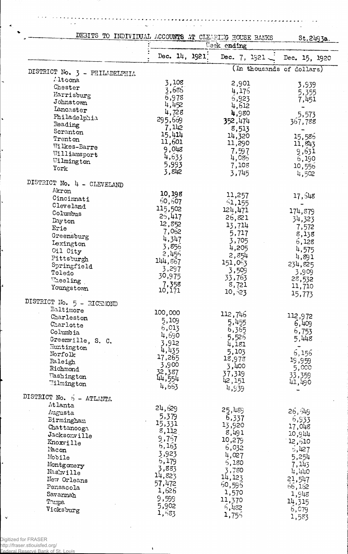$\overline{a}$  $\sim$   $\sim$  $\sim$  $\Delta\mu_{\rm{eff}}$  $\alpha$  ,  $\alpha$  ,  $\alpha$ 

 $\overline{a}$ 

 $\mathbb{R}^2$ 

 $\sim$   $\sim$ 

÷.  $\mathbf{r}$ 

|                               | DEBITS TO INDIVIDUAL ACCOUNTS AT CLEARING HOUSE BANKS<br>Week ending |                  | St.2493a.                 |
|-------------------------------|----------------------------------------------------------------------|------------------|---------------------------|
|                               | Dec. 14, 1921]                                                       | Dec. 7, $1921 -$ | Dec. 15, 1920             |
| DISTRICT No. 3 - PHILADELPHIA |                                                                      |                  | (In thousands of dollars) |
| Altoona                       |                                                                      |                  |                           |
| Chester                       | 3,108                                                                | 2,901            | 3,939                     |
| Harrisburg                    | 3,686                                                                | 4,175            | 5,355                     |
|                               | 6,978                                                                | 6,923            | 7,451                     |
| Johnstown                     | 4,452                                                                | 4,612            |                           |
| Lancaster                     | 4,728                                                                | 4,980            | 5,573                     |
| Philadelphia                  | 295,669                                                              | 352,474          | 367,788                   |
| Reading                       | 7,142                                                                | 8,513            |                           |
| Scranton                      | 15,414                                                               |                  |                           |
| Trenton                       | 11,601                                                               | 14,320           | 15,586                    |
| Wilkes-Barre                  |                                                                      | 11,290           | 11,843                    |
| Williamsport                  | 9,048                                                                | 7,597            | 9,631                     |
| Wilmington                    | 4,633                                                                | 4,085            | 6,190                     |
| York                          | 5,993                                                                | 7,108            | 10,556                    |
|                               | 3,842                                                                | 3,745            | 4,502                     |
| DISTRICT No. 4 - CLEVELAND    |                                                                      |                  |                           |
| Akron                         | 10,198                                                               | 11,257           |                           |
| Cincinnati                    | 60,607                                                               |                  | 17,548                    |
| Cleveland                     |                                                                      | 51,155           |                           |
| Columbus                      | 115,502                                                              | 124,471          | 174,879                   |
| Dayton                        | 25,417                                                               | 26,821           | 34,323                    |
| Erie                          | 12,852                                                               | 13,714           | 7,572                     |
|                               | 7,062                                                                | 5,717            | 8,138                     |
| Greensburg                    | 4,347                                                                | 3,705            | 6,128                     |
| Lexington                     | 3,856                                                                | 4,205            |                           |
| Oil City                      | 2,456                                                                |                  | 4,575                     |
| Pittsburgh                    | 144,867                                                              | 2,854            | 4,891                     |
| Springfield                   | 3,297                                                                | 151,053          | 234,825                   |
| Toledo                        |                                                                      | 3,509            | 3,909                     |
| Leeling                       | 30,975                                                               | 33,763           | 28,532                    |
| Youngstown                    | 7,358                                                                | 8,721            | 11,710                    |
|                               | 10,171                                                               | 10,523           | 15,773                    |
| DISTRICT No. 5 - RICHMOND     |                                                                      |                  |                           |
| Baltimore                     | 100,000                                                              | 112,746          |                           |
| Charleston                    | 5,109                                                                |                  | 112,972                   |
| Charlotte                     | 6,013                                                                | 5,455            | 6,409                     |
| Columbia                      |                                                                      | 6,365            | 6,753                     |
| Greenville, S. C.             | 4,690                                                                | 5,526            | 5,448                     |
| Huntington                    | 3,912                                                                | 4,181            |                           |
| Norfolk                       | 4,435                                                                | 5,103            | 6,156                     |
| Paleigh                       | 17,265                                                               | 18,978           | 19,959                    |
| Richmond                      | 3,900                                                                | 3,400            | 5,000                     |
|                               | 32,387                                                               | 37,319           | 33,359                    |
| <b>Washington</b>             | 44,554                                                               | 42,151           |                           |
| Wilmington                    | 4,663                                                                | 4,939            | 41,490                    |
| DISTRICT No. 5 - ATLANTA      |                                                                      |                  |                           |
| Atlanta                       |                                                                      |                  |                           |
| Augusta                       | 24,629                                                               | 25,489           | 26,549                    |
| Birmingham                    | 5,379                                                                | 6,337            | 6,933                     |
|                               | 15,331                                                               | 13,920           | 17,048                    |
| Chattanooga                   | 8,112                                                                | 8,491            |                           |
| Jacksonville                  | 9,757                                                                | 10,279           | 10,944                    |
| Knoxville                     | 6,163                                                                |                  | 12,610                    |
| Macon                         | 3,923                                                                | 6,032            | 5,427                     |
| Mobile                        |                                                                      | 4,027            | 5,254                     |
| Montgomery                    | 6,179                                                                | 5,180            | 7,143                     |
| Nashville                     | 3,883                                                                | 3,780            | 4,440                     |
| New Orleans                   | 14,823                                                               | 14,123           | 21,547                    |
|                               | 57,472                                                               | 60,596           | 66,162                    |
| Pensacola                     | 1,626                                                                | 1,570            |                           |
| Savannah                      | 9,599                                                                | 11,370           | 1,948                     |
| Tompa                         | 5,902                                                                |                  | 14,315                    |
| Vicksburg                     | 1,583                                                                | 6,482            | 6,079                     |
|                               |                                                                      | 1,755            | 1,583                     |

 $\checkmark$ 

ł.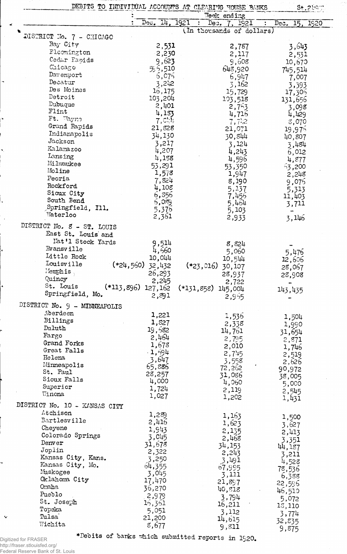|                               |                       | DEBITS TO INDIVIDUAL ACCOUNTS AT CLEARING MOUSE BANKS | $$t.2$ liem                              |
|-------------------------------|-----------------------|-------------------------------------------------------|------------------------------------------|
|                               |                       | Week ending                                           |                                          |
|                               | Dec. 14, 1921         | Dec. 7, 1921<br>$\mathcal{L}$                         | $\overline{\text{Dec}}$ .<br>15.<br>1920 |
| DISTRICT No. 7 - CHICAGO      |                       | (In thousands of dollars)                             |                                          |
| Bay City                      | 2,531                 | 2,787                                                 | 3,643                                    |
| Elcomington                   | 2,230                 | 2,117                                                 | 2,531                                    |
| Cedar Papids                  | 9,623                 | 9,608                                                 | 10,670                                   |
| Chicago                       | 595,510               | 648,920                                               | 745,514                                  |
| Davenport                     | 5,075                 | 6,947                                                 | 7,007                                    |
| Decatur                       | 3,242                 | $\overline{5}$ , 162                                  | 3,393                                    |
| Des Moines                    | 16, 175               | 15,729                                                | 17,306                                   |
| Detroit                       | 103,204               | 193,518                                               | 131,656                                  |
| Dubuque                       | 2,401                 | 2,763                                                 | 3,098                                    |
| Flint                         | 4,133                 | 4,716                                                 | 4,429                                    |
| Ft. Wayne                     | 7,0.1                 | 7,72                                                  | 8,070                                    |
| Grand Rapids                  | 21,828                | 21,071                                                | <b>19,975</b>                            |
| Indianapolis<br>Jackson       | 34,130                | 30,844                                                | 40,807                                   |
| Kalamazoo                     | 3,217                 | 3,124                                                 | 3,484                                    |
| Lansing                       | 4,207                 | 4,243                                                 | 6,012                                    |
| Milwaukee                     | 4,188                 | 4,596                                                 | 4,877                                    |
| Moline                        | 53,291                | 53,350                                                | 53,200                                   |
| Peoria                        | 1,578                 | 1,947                                                 | 2,248                                    |
| Rockford                      | 7,824<br>4,108        | 8,190                                                 | 9,076                                    |
| Sioux City                    | 6,355                 | 5,137<br>7,456                                        | 5,313                                    |
| South Bend                    | 5,089                 | 5,464                                                 | 11,403<br>3,711                          |
| Springfield, Ill.             | 5,370                 | 5,103                                                 |                                          |
| $\mathbb{V}\text{ater}$ loo   | 2,361                 | 2,933                                                 | 3,146                                    |
| DISTRICT No. 8 - ST. LOUIS    |                       |                                                       |                                          |
| East St. Louis' and           |                       |                                                       |                                          |
| Nat'l Stock Yards             | 9,514                 |                                                       |                                          |
| Evansville                    | 4,560                 | 8,824<br>5,060                                        |                                          |
| Little Rock                   | 10,044                | 10,544                                                | 5,476                                    |
| Louisville                    | $(*24,560)$<br>32,432 | $(*23,016)$<br>30,107                                 | 12,606                                   |
| Memphis                       | 26,293                | 28,937                                                | 28,067                                   |
| Quincy                        | 2,245                 | 2,722                                                 | 28,908                                   |
| St. Louis                     | $(*113,896)$ 127, 162 | $(*131,858)$ 145,004                                  | 143,435                                  |
| Springfield, Mo.              | 2,891                 | 2,955                                                 |                                          |
| DISTRICT No. 9 - MINNEAPOLIS  |                       |                                                       |                                          |
| Aberdeen                      | 1,221                 |                                                       |                                          |
| Billings                      | 1,827                 | 1,536                                                 | 1,504                                    |
| Duluth                        | 19,582                | 2,338                                                 | 1,990                                    |
| Fargo                         | 2,464                 | 14,761                                                | 31,654                                   |
| Grand Forks                   | 1,678                 | 2,795<br>2,010                                        | 2,871                                    |
| Great Falls                   | $-1,594$              | 2,745                                                 | 1,746                                    |
| Helena                        | 3,647                 | 3,558                                                 | 2,519<br>2,626                           |
| Minneapolis                   | 65,886                | 72,262                                                | 90,972                                   |
| St. Paul                      | 28,257                | 31,086                                                | 38,005                                   |
| Sioux Falls                   | 4,000                 | 4,060                                                 | 5,000                                    |
| Superior                      | 1,724                 | 2,119                                                 | 2,545                                    |
| Vinona                        | 1,027                 | 1,202                                                 | 1,431                                    |
| DISTRICT No. 10 - KANSAS CITY |                       |                                                       |                                          |
| Atchison                      | 1,289                 | 1,163                                                 | 1,500                                    |
| Bartlesville                  | 2,416                 | 1,623                                                 | 3,627                                    |
| Cheyene                       | 1,943                 | 2,135                                                 | 2,413                                    |
| Colorado Springs              | 3,045                 | 2,468                                                 | 3,351                                    |
| Denver                        | 31,678                | 34,153                                                | 44,187                                   |
| Joplin                        | 2,322                 | 2,243                                                 | 3,211                                    |
| Kansas City, Kans.            | 3,250                 | 3,491                                                 | 4,528                                    |
| Kansas City, Mo.              | 64,355                | 67,995                                                | 78,536                                   |
| Muskogee                      | 3,045                 | 3,111                                                 | 6,388                                    |
| Oklahoma City<br>Omaha        | 17,470                | 21,897                                                | 22,596                                   |
| Pueblo                        | 36,270                | 40,818                                                | 46,510                                   |
| St. Joseph                    | 2,979                 | 3,794                                                 | 5,072                                    |
| Topeka                        | 15,351                | 16,211                                                | 13,110                                   |
| Tulsa <sup>-</sup>            | 5,051<br>21,200       | 3,112                                                 | 3,774                                    |
| Wichita                       | 8,677                 | 14,615                                                | 32,835                                   |
|                               |                       | 9,811                                                 | 9,875                                    |

.<br>Digitized for FRASER<br>Federal Reserve Bank of St. Louis<br>Federal Reserve Bank of St. Louis

÷,

 $\mathbf{v}$ 

 $\tilde{\phantom{a}}$ 

 $\ddot{\phantom{0}}$ 

 $\overline{\cdot}$ 

 $\ddot{\phantom{a}}$ 

\*Debits of banks which submitted reports in 1920.